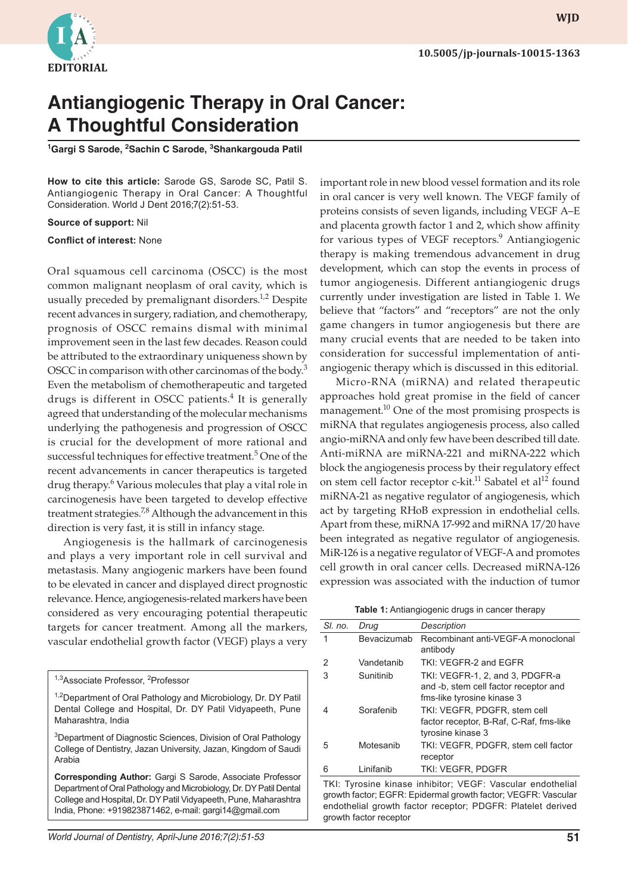

## **Antiangiogenic Therapy in Oral Cancer: A Thoughtful Consideration**

<sup>1</sup>Gargi S Sarode, <sup>2</sup>Sachin C Sarode, <sup>3</sup>Shankargouda Patil

**How to cite this article:** Sarode GS, Sarode SC, Patil S. Antiangiogenic Therapy in Oral Cancer: A Thoughtful Consideration. World J Dent 2016;7(2):51-53.

## **Source of support:** Nil

## **Conflict of interest:** None

Oral squamous cell carcinoma (OSCC) is the most common malignant neoplasm of oral cavity, which is usually preceded by premalignant disorders.<sup>1,2</sup> Despite recent advances in surgery, radiation, and chemotherapy, prognosis of OSCC remains dismal with minimal improvement seen in the last few decades. Reason could be attributed to the extraordinary uniqueness shown by OSCC in comparison with other carcinomas of the body.<sup>3</sup> Even the metabolism of chemotherapeutic and targeted drugs is different in OSCC patients.<sup>4</sup> It is generally agreed that understanding of the molecular mechanisms underlying the pathogenesis and progression of OSCC is crucial for the development of more rational and successful techniques for effective treatment.<sup>5</sup> One of the recent advancements in cancer therapeutics is targeted drug therapy.<sup>6</sup> Various molecules that play a vital role in carcinogenesis have been targeted to develop effective treatment strategies.<sup>7,8</sup> Although the advancement in this direction is very fast, it is still in infancy stage.

Angiogenesis is the hallmark of carcinogenesis and plays a very important role in cell survival and metastasis. Many angiogenic markers have been found to be elevated in cancer and displayed direct prognostic relevance. Hence, angiogenesis-related markers have been considered as very encouraging potential therapeutic targets for cancer treatment. Among all the markers, vascular endothelial growth factor (VEGF) plays a very

- <sup>1,2</sup>Department of Oral Pathology and Microbiology, Dr. DY Patil Dental College and Hospital, Dr. DY Patil Vidyapeeth, Pune Maharashtra, India
- <sup>3</sup>Department of Diagnostic Sciences, Division of Oral Pathology College of Dentistry, Jazan University, Jazan, Kingdom of Saudi Arabia

**Corresponding Author:** Gargi S Sarode, Associate Professor Department of Oral Pathology and Microbiology, Dr. DY Patil Dental College and Hospital, Dr. DY Patil Vidyapeeth, Pune, Maharashtra India, Phone: +919823871462, e-mail: gargi14@gmail.com

important role in new blood vessel formation and its role in oral cancer is very well known. The VEGF family of proteins consists of seven ligands, including VEGF A–E and placenta growth factor 1 and 2, which show affinity for various types of VEGF receptors.<sup>9</sup> Antiangiogenic therapy is making tremendous advancement in drug development, which can stop the events in process of tumor angiogenesis. Different antiangiogenic drugs currently under investigation are listed in Table 1. We believe that "factors" and "receptors" are not the only game changers in tumor angiogenesis but there are many crucial events that are needed to be taken into consideration for successful implementation of antiangiogenic therapy which is discussed in this editorial.

Micro-RNA (miRNA) and related therapeutic approaches hold great promise in the field of cancer management.<sup>10</sup> One of the most promising prospects is miRNA that regulates angiogenesis process, also called angio-miRNA and only few have been described till date. Anti-miRNA are miRNA-221 and miRNA-222 which block the angiogenesis process by their regulatory effect on stem cell factor receptor c-kit.<sup>11</sup> Sabatel et al<sup>12</sup> found miRNA-21 as negative regulator of angiogenesis, which act by targeting RHoB expression in endothelial cells. Apart from these, miRNA 17-992 and miRNA 17/20 have been integrated as negative regulator of angiogenesis. MiR-126 is a negative regulator of VEGF-A and promotes cell growth in oral cancer cells. Decreased miRNA-126 expression was associated with the induction of tumor

| SI. no. | Drug        | Description                                                                                            |
|---------|-------------|--------------------------------------------------------------------------------------------------------|
| 1       | Bevacizumab | Recombinant anti-VEGF-A monoclonal<br>antibody                                                         |
| 2       | Vandetanib  | TKI: VFGFR-2 and FGFR                                                                                  |
| 3       | Sunitinib   | TKI: VEGFR-1, 2, and 3, PDGFR-a<br>and -b, stem cell factor receptor and<br>fms-like tyrosine kinase 3 |
|         | Sorafenib   | TKI: VEGFR, PDGFR, stem cell<br>factor receptor, B-Raf, C-Raf, fms-like<br>tyrosine kinase 3           |
| 5       | Motesanib   | TKI: VEGFR, PDGFR, stem cell factor<br>receptor                                                        |
| 6       | Linifanib   | <b>TKI: VEGFR, PDGFR</b>                                                                               |

TKI: Tyrosine kinase inhibitor; VEGF: Vascular endothelial growth factor; EGFR: Epidermal growth factor; VEGFR: Vascular endothelial growth factor receptor; PDGFR: Platelet derived growth factor receptor

<sup>&</sup>lt;sup>1,3</sup>Associate Professor, <sup>2</sup>Professor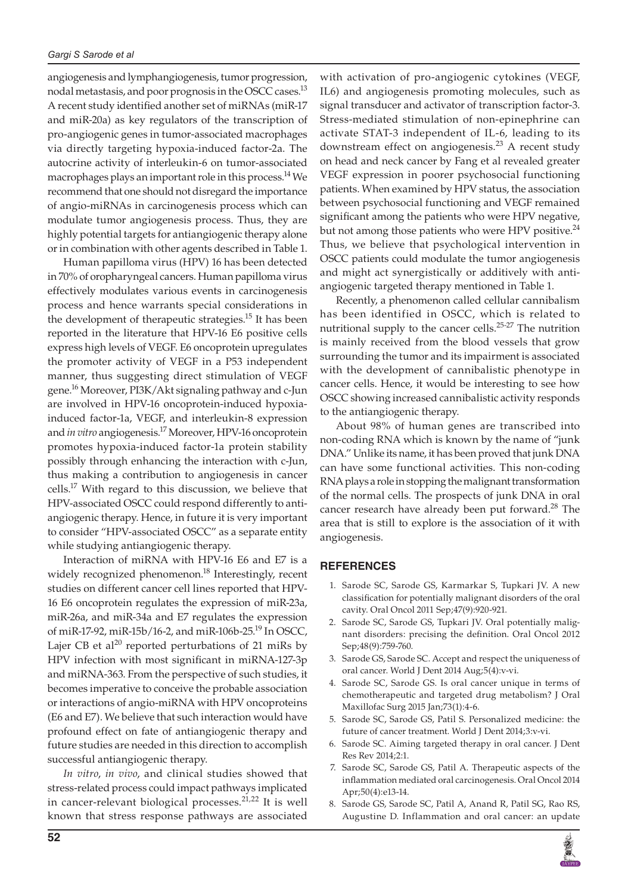angiogenesis and lymphangiogenesis, tumor progression, nodal metastasis, and poor prognosis in the OSCC cases.<sup>13</sup> A recent study identified another set of miRNAs (miR-17 and miR-20a) as key regulators of the transcription of pro-angiogenic genes in tumor-associated macrophages via directly targeting hypoxia-induced factor-2a. The autocrine activity of interleukin-6 on tumor-associated macrophages plays an important role in this process.<sup>14</sup> We recommend that one should not disregard the importance of angio-miRNAs in carcinogenesis process which can modulate tumor angiogenesis process. Thus, they are highly potential targets for antiangiogenic therapy alone or in combination with other agents described in Table 1.

Human papilloma virus (HPV) 16 has been detected in 70% of oropharyngeal cancers. Human papilloma virus effectively modulates various events in carcinogenesis process and hence warrants special considerations in the development of therapeutic strategies.<sup>15</sup> It has been reported in the literature that HPV-16 E6 positive cells express high levels of VEGF. E6 oncoprotein upregulates the promoter activity of VEGF in a P53 independent manner, thus suggesting direct stimulation of VEGF gene.16 Moreover, PI3K/Akt signaling pathway and c-Jun are involved in HPV-16 oncoprotein-induced hypoxiainduced factor-1a, VEGF, and interleukin-8 expression and *in vitro* angiogenesis.17 Moreover, HPV-16 oncoprotein promotes hypoxia-induced factor-1a protein stability possibly through enhancing the interaction with c-Jun, thus making a contribution to angiogenesis in cancer cells.17 With regard to this discussion, we believe that HPV-associated OSCC could respond differently to antiangiogenic therapy. Hence, in future it is very important to consider "HPV-associated OSCC" as a separate entity while studying antiangiogenic therapy.

Interaction of miRNA with HPV-16 E6 and E7 is a widely recognized phenomenon.<sup>18</sup> Interestingly, recent studies on different cancer cell lines reported that HPV-16 E6 oncoprotein regulates the expression of miR-23a, miR-26a, and miR-34a and E7 regulates the expression of miR-17-92, miR-15b/16-2, and miR-106b-25.19 In OSCC, Lajer CB et al<sup>20</sup> reported perturbations of 21 miRs by HPV infection with most significant in miRNA-127-3p and miRNA-363. From the perspective of such studies, it becomes imperative to conceive the probable association or interactions of angio-miRNA with HPV oncoproteins (E6 and E7). We believe that such interaction would have profound effect on fate of antiangiogenic therapy and future studies are needed in this direction to accomplish successful antiangiogenic therapy.

*In vitro*, *in vivo*, and clinical studies showed that stress-related process could impact pathways implicated in cancer-relevant biological processes. $21,22$  It is well known that stress response pathways are associated

with activation of pro-angiogenic cytokines (VEGF, IL6) and angiogenesis promoting molecules, such as signal transducer and activator of transcription factor-3. Stress-mediated stimulation of non-epinephrine can activate STAT-3 independent of IL-6, leading to its downstream effect on angiogenesis.<sup>23</sup> A recent study on head and neck cancer by Fang et al revealed greater VEGF expression in poorer psychosocial functioning patients. When examined by HPV status, the association between psychosocial functioning and VEGF remained significant among the patients who were HPV negative, but not among those patients who were HPV positive.<sup>24</sup> Thus, we believe that psychological intervention in OSCC patients could modulate the tumor angiogenesis and might act synergistically or additively with antiangiogenic targeted therapy mentioned in Table 1.

Recently, a phenomenon called cellular cannibalism has been identified in OSCC, which is related to nutritional supply to the cancer cells. $25-27$  The nutrition is mainly received from the blood vessels that grow surrounding the tumor and its impairment is associated with the development of cannibalistic phenotype in cancer cells. Hence, it would be interesting to see how OSCC showing increased cannibalistic activity responds to the antiangiogenic therapy.

About 98% of human genes are transcribed into non-coding RNA which is known by the name of "junk DNA." Unlike its name, it has been proved that junk DNA can have some functional activities. This non-coding RNA plays a role in stopping the malignant transformation of the normal cells. The prospects of junk DNA in oral cancer research have already been put forward.<sup>28</sup> The area that is still to explore is the association of it with angiogenesis.

## **REFERENCES**

- 1. Sarode SC, Sarode GS, Karmarkar S, Tupkari JV. A new classification for potentially malignant disorders of the oral cavity. Oral Oncol 2011 Sep;47(9):920-921.
- 2. Sarode SC, Sarode GS, Tupkari JV. Oral potentially malignant disorders: precising the definition. Oral Oncol 2012 Sep;48(9):759-760.
- 3. Sarode GS, Sarode SC. Accept and respect the uniqueness of oral cancer. World J Dent 2014 Aug;5(4):v-vi.
- 4. Sarode SC, Sarode GS. Is oral cancer unique in terms of chemotherapeutic and targeted drug metabolism? J Oral Maxillofac Surg 2015 Jan;73(1):4-6.
- 5. Sarode SC, Sarode GS, Patil S. Personalized medicine: the future of cancer treatment. World J Dent 2014;3:v-vi.
- Sarode SC. Aiming targeted therapy in oral cancer. J Dent Res Rev 2014;2:1.
- 7. Sarode SC, Sarode GS, Patil A. Therapeutic aspects of the inflammation mediated oral carcinogenesis. Oral Oncol 2014 Apr;50(4):e13-14.
- 8. Sarode GS, Sarode SC, Patil A, Anand R, Patil SG, Rao RS, Augustine D. Inflammation and oral cancer: an update